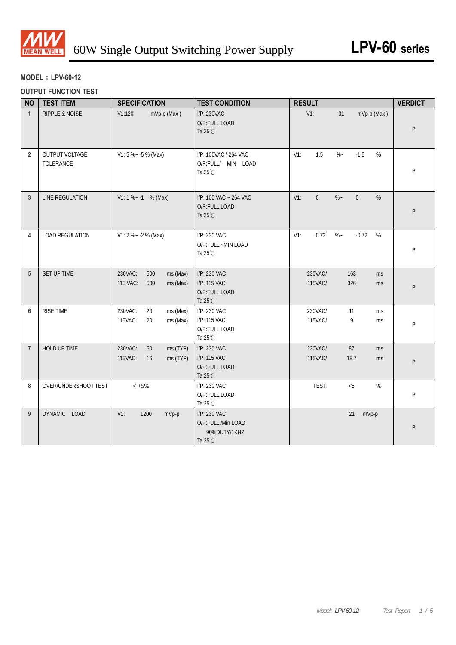

# **MODEL**:**LPV-60-12**

## **OUTPUT FUNCTION TEST**

| <b>NO</b>       | <b>TEST ITEM</b>            | <b>SPECIFICATION</b>                                      | <b>TEST CONDITION</b>                                               | <b>RESULT</b>                                       | <b>VERDICT</b> |
|-----------------|-----------------------------|-----------------------------------------------------------|---------------------------------------------------------------------|-----------------------------------------------------|----------------|
| $\mathbf{1}$    | <b>RIPPLE &amp; NOISE</b>   | V1:120<br>mVp-p (Max)                                     | I/P: 230VAC<br>O/P:FULL LOAD<br>Ta: $25^{\circ}$ C                  | $V1$ :<br>mVp-p (Max)<br>31                         | P              |
| $\overline{2}$  | OUTPUT VOLTAGE<br>TOLERANCE | $V1: 5 % -5 % (Max)$                                      | I/P: 100VAC / 264 VAC<br>O/P:FULL/ MIN LOAD<br>Ta: $25^{\circ}$ C   | 1.5<br>$V1$ :<br>$\%$ ~<br>$-1.5$<br>%              | P              |
| $\mathbf{3}$    | LINE REGULATION             | $V1: 1 % -1  % (Max)$                                     | I/P: 100 VAC ~ 264 VAC<br>O/P:FULL LOAD<br>Ta: $25^{\circ}$ C       | $\%$ –<br>$V1$ :<br>$\Omega$<br>$\overline{0}$<br>% | P              |
| 4               | <b>LOAD REGULATION</b>      | V1: 2 %~ -2 % (Max)                                       | I/P: 230 VAC<br>O/P:FULL ~MIN LOAD<br>Ta: $25^{\circ}$ C            | $V1$ :<br>0.72<br>$\%$ ~<br>$-0.72$<br>%            | P              |
| $5\phantom{.0}$ | SET UP TIME                 | 230VAC:<br>500<br>ms (Max)<br>115 VAC:<br>500<br>ms (Max) | I/P: 230 VAC<br>I/P: 115 VAC<br>O/P:FULL LOAD<br>Ta: $25^{\circ}$ C | 230VAC/<br>163<br>ms<br>115VAC/<br>326<br>ms        | P              |
| 6               | <b>RISE TIME</b>            | 230VAC:<br>20<br>ms (Max)<br>115VAC:<br>20<br>ms (Max)    | I/P: 230 VAC<br>I/P: 115 VAC<br>O/P:FULL LOAD<br>Ta: $25^{\circ}$ C | 230VAC/<br>11<br>ms<br>115VAC/<br>9<br>ms           | P              |
| $\overline{7}$  | HOLD UP TIME                | 230VAC:<br>50<br>ms (TYP)<br>ms (TYP)<br>115VAC:<br>16    | I/P: 230 VAC<br>I/P: 115 VAC<br>O/P:FULL LOAD<br>Ta:25°C            | 230VAC/<br>87<br>ms<br>18.7<br>115VAC/<br>ms        | P              |
| 8               | OVER/UNDERSHOOT TEST        | $< +5\%$                                                  | I/P: 230 VAC<br>O/P:FULL LOAD<br>Ta:25°C                            | TEST:<br>< 5<br>$\%$                                | P              |
| 9               | DYNAMIC LOAD                | $V1$ :<br>1200<br>mVp-p                                   | I/P: 230 VAC<br>O/P:FULL /Min LOAD<br>90%DUTY/1KHZ<br>Ta:25°C       | 21<br>mVp-p                                         | P              |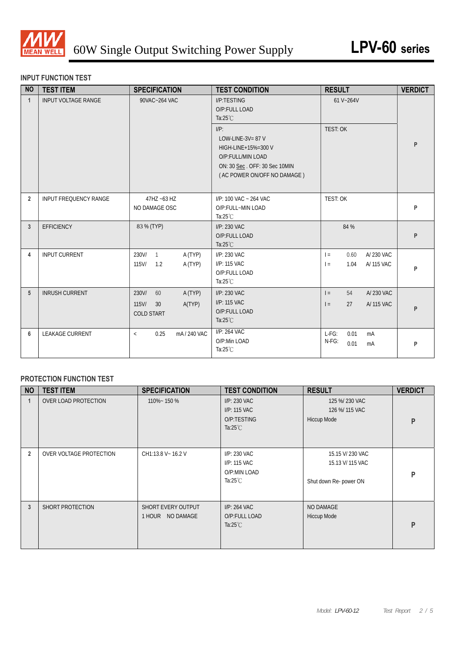

#### **INPUT FUNCTION TEST**

| <b>NO</b>      | <b>TEST ITEM</b>           | <b>SPECIFICATION</b>                                                    | <b>TEST CONDITION</b>                                                                                                                      | <b>RESULT</b>                                        | <b>VERDICT</b> |
|----------------|----------------------------|-------------------------------------------------------------------------|--------------------------------------------------------------------------------------------------------------------------------------------|------------------------------------------------------|----------------|
| $\mathbf{1}$   | <b>INPUT VOLTAGE RANGE</b> | 90VAC~264 VAC                                                           | I/P:TESTING<br>O/P:FULL LOAD<br>Ta: $25^{\circ}$ C                                                                                         | 61 V~264V                                            |                |
|                |                            |                                                                         | $I/P$ :<br>LOW-LINE-3V= $87$ V<br>HIGH-LINE+15%=300 V<br>O/P:FULL/MIN LOAD<br>ON: 30 Sec. OFF: 30 Sec 10MIN<br>(AC POWER ON/OFF NO DAMAGE) | TEST: OK                                             | P              |
| $\overline{2}$ | INPUT FREQUENCY RANGE      | 47HZ ~63 HZ<br>NO DAMAGE OSC                                            | I/P: 100 VAC ~ 264 VAC<br>O/P:FULL~MIN LOAD<br>Ta: $25^{\circ}$ C                                                                          | TEST: OK                                             | P              |
| 3              | <b>EFFICIENCY</b>          | 83 % (TYP)                                                              | I/P: 230 VAC<br>O/P:FULL LOAD<br>Ta: $25^{\circ}$ C                                                                                        | 84 %                                                 | P              |
| 4              | <b>INPUT CURRENT</b>       | 230V/<br>A (TYP)<br>$\overline{1}$<br>$115$ V/<br>A (TYP)<br>1.2        | I/P: 230 VAC<br>I/P: 115 VAC<br>O/P:FULL LOAD<br>Ta: $25^{\circ}$ C                                                                        | 0.60<br>A/230 VAC<br>$=$<br>A/115 VAC<br>1.04<br>$=$ | P              |
| 5              | <b>INRUSH CURRENT</b>      | 230V/<br>60<br>A (TYP)<br>$115$ V/<br>30<br>A(TYP)<br><b>COLD START</b> | I/P: 230 VAC<br>I/P: 115 VAC<br>O/P:FULL LOAD<br>Ta: $25^{\circ}$ C                                                                        | A/230 VAC<br>54<br>$=$<br>27<br>A/ 115 VAC<br>$=$    | P              |
| 6              | <b>LEAKAGE CURRENT</b>     | mA/240 VAC<br>0.25<br>$\,<$                                             | I/P: 264 VAC<br>O/P:Min LOAD<br>Ta: $25^{\circ}$ C                                                                                         | $L-FG$ :<br>0.01<br>mA<br>N-FG:<br>0.01<br>mA        | P              |

## **PROTECTION FUNCTION TEST**

| <b>NO</b>      | <b>TEST ITEM</b>        | <b>SPECIFICATION</b>                   | <b>TEST CONDITION</b>                                              | <b>RESULT</b>                                                  | <b>VERDICT</b> |
|----------------|-------------------------|----------------------------------------|--------------------------------------------------------------------|----------------------------------------------------------------|----------------|
|                | OVER LOAD PROTECTION    | 110%~150%                              | I/P: 230 VAC<br>I/P: 115 VAC<br>O/P:TESTING<br>Ta: $25^{\circ}$ C  | 125 %/ 230 VAC<br>126 %/ 115 VAC<br>Hiccup Mode                | P              |
| $\overline{2}$ | OVER VOLTAGE PROTECTION | CH1:13.8 V ~ 16.2 V                    | I/P: 230 VAC<br>I/P: 115 VAC<br>O/P:MIN LOAD<br>Ta: $25^{\circ}$ C | 15.15 V/ 230 VAC<br>15.13 V/ 115 VAC<br>Shut down Re- power ON | P              |
| 3              | SHORT PROTECTION        | SHORT EVERY OUTPUT<br>1 HOUR NO DAMAGE | I/P: 264 VAC<br>O/P:FULL LOAD<br>Ta: $25^{\circ}$ C                | NO DAMAGE<br>Hiccup Mode                                       | P              |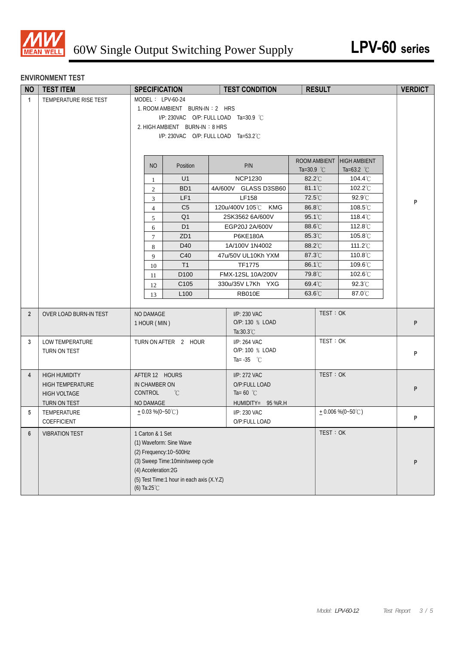

#### **ENVIRONMENT TEST**

| <b>TEST ITEM</b>      |                                                                                                                                                                                    |                                     | <b>TEST CONDITION</b>                                                                                                                                                                                                                                                                                                                              | <b>RESULT</b>                                                                                                                                                                                                                                                                                                                                                                                                                 |                                                                    | <b>VERDICT</b>                                                                                                                                                                                                     |  |  |  |  |
|-----------------------|------------------------------------------------------------------------------------------------------------------------------------------------------------------------------------|-------------------------------------|----------------------------------------------------------------------------------------------------------------------------------------------------------------------------------------------------------------------------------------------------------------------------------------------------------------------------------------------------|-------------------------------------------------------------------------------------------------------------------------------------------------------------------------------------------------------------------------------------------------------------------------------------------------------------------------------------------------------------------------------------------------------------------------------|--------------------------------------------------------------------|--------------------------------------------------------------------------------------------------------------------------------------------------------------------------------------------------------------------|--|--|--|--|
| TEMPERATURE RISE TEST |                                                                                                                                                                                    |                                     |                                                                                                                                                                                                                                                                                                                                                    |                                                                                                                                                                                                                                                                                                                                                                                                                               |                                                                    |                                                                                                                                                                                                                    |  |  |  |  |
|                       |                                                                                                                                                                                    |                                     |                                                                                                                                                                                                                                                                                                                                                    |                                                                                                                                                                                                                                                                                                                                                                                                                               |                                                                    |                                                                                                                                                                                                                    |  |  |  |  |
|                       |                                                                                                                                                                                    |                                     |                                                                                                                                                                                                                                                                                                                                                    |                                                                                                                                                                                                                                                                                                                                                                                                                               |                                                                    |                                                                                                                                                                                                                    |  |  |  |  |
|                       |                                                                                                                                                                                    |                                     |                                                                                                                                                                                                                                                                                                                                                    |                                                                                                                                                                                                                                                                                                                                                                                                                               |                                                                    |                                                                                                                                                                                                                    |  |  |  |  |
|                       | I/P: 230VAC O/P: FULL LOAD Ta=53.2°C                                                                                                                                               |                                     |                                                                                                                                                                                                                                                                                                                                                    |                                                                                                                                                                                                                                                                                                                                                                                                                               |                                                                    |                                                                                                                                                                                                                    |  |  |  |  |
|                       |                                                                                                                                                                                    |                                     |                                                                                                                                                                                                                                                                                                                                                    |                                                                                                                                                                                                                                                                                                                                                                                                                               |                                                                    |                                                                                                                                                                                                                    |  |  |  |  |
|                       |                                                                                                                                                                                    |                                     |                                                                                                                                                                                                                                                                                                                                                    |                                                                                                                                                                                                                                                                                                                                                                                                                               |                                                                    |                                                                                                                                                                                                                    |  |  |  |  |
|                       |                                                                                                                                                                                    | Position                            | P/N                                                                                                                                                                                                                                                                                                                                                |                                                                                                                                                                                                                                                                                                                                                                                                                               |                                                                    |                                                                                                                                                                                                                    |  |  |  |  |
|                       |                                                                                                                                                                                    |                                     |                                                                                                                                                                                                                                                                                                                                                    |                                                                                                                                                                                                                                                                                                                                                                                                                               |                                                                    |                                                                                                                                                                                                                    |  |  |  |  |
|                       |                                                                                                                                                                                    | BD <sub>1</sub>                     |                                                                                                                                                                                                                                                                                                                                                    | 81.1°C                                                                                                                                                                                                                                                                                                                                                                                                                        | 102.2°C                                                            |                                                                                                                                                                                                                    |  |  |  |  |
|                       | 3                                                                                                                                                                                  | LF1                                 | LF158                                                                                                                                                                                                                                                                                                                                              | 72.5°C                                                                                                                                                                                                                                                                                                                                                                                                                        | 92.9°C                                                             |                                                                                                                                                                                                                    |  |  |  |  |
|                       | $\overline{4}$                                                                                                                                                                     | C <sub>5</sub>                      | 120u/400V 105℃<br><b>KMG</b>                                                                                                                                                                                                                                                                                                                       | 86.8°C                                                                                                                                                                                                                                                                                                                                                                                                                        | $108.5^{\circ}$ C                                                  | P                                                                                                                                                                                                                  |  |  |  |  |
|                       | 5                                                                                                                                                                                  | Q <sub>1</sub>                      | 2SK3562 6A/600V                                                                                                                                                                                                                                                                                                                                    | 95.1°C                                                                                                                                                                                                                                                                                                                                                                                                                        | 118.4 $\degree$ C                                                  |                                                                                                                                                                                                                    |  |  |  |  |
|                       | 6                                                                                                                                                                                  | D <sub>1</sub>                      | EGP20J 2A/600V                                                                                                                                                                                                                                                                                                                                     | 88.6°C                                                                                                                                                                                                                                                                                                                                                                                                                        | 112.8°C                                                            |                                                                                                                                                                                                                    |  |  |  |  |
|                       | $\tau$                                                                                                                                                                             | ZD1                                 | <b>P6KE180A</b>                                                                                                                                                                                                                                                                                                                                    | 85.3°C                                                                                                                                                                                                                                                                                                                                                                                                                        | 105.8°C                                                            |                                                                                                                                                                                                                    |  |  |  |  |
|                       | 8                                                                                                                                                                                  | D40                                 | 1A/100V 1N4002                                                                                                                                                                                                                                                                                                                                     | 88.2°C                                                                                                                                                                                                                                                                                                                                                                                                                        | 111.2 $\degree$ C                                                  |                                                                                                                                                                                                                    |  |  |  |  |
|                       | 9                                                                                                                                                                                  | C40                                 | 47u/50V UL10Kh YXM                                                                                                                                                                                                                                                                                                                                 | 87.3°C                                                                                                                                                                                                                                                                                                                                                                                                                        | 110.8°C                                                            |                                                                                                                                                                                                                    |  |  |  |  |
|                       |                                                                                                                                                                                    | T1                                  | <b>TF1775</b>                                                                                                                                                                                                                                                                                                                                      | 86.1°C                                                                                                                                                                                                                                                                                                                                                                                                                        | 109.6℃                                                             |                                                                                                                                                                                                                    |  |  |  |  |
|                       | 11                                                                                                                                                                                 | D <sub>100</sub>                    | FMX-12SL 10A/200V                                                                                                                                                                                                                                                                                                                                  | 79.8°C                                                                                                                                                                                                                                                                                                                                                                                                                        | 102.6°C                                                            |                                                                                                                                                                                                                    |  |  |  |  |
|                       |                                                                                                                                                                                    |                                     |                                                                                                                                                                                                                                                                                                                                                    |                                                                                                                                                                                                                                                                                                                                                                                                                               |                                                                    |                                                                                                                                                                                                                    |  |  |  |  |
|                       |                                                                                                                                                                                    |                                     |                                                                                                                                                                                                                                                                                                                                                    |                                                                                                                                                                                                                                                                                                                                                                                                                               |                                                                    |                                                                                                                                                                                                                    |  |  |  |  |
|                       |                                                                                                                                                                                    |                                     |                                                                                                                                                                                                                                                                                                                                                    |                                                                                                                                                                                                                                                                                                                                                                                                                               |                                                                    |                                                                                                                                                                                                                    |  |  |  |  |
|                       |                                                                                                                                                                                    |                                     |                                                                                                                                                                                                                                                                                                                                                    |                                                                                                                                                                                                                                                                                                                                                                                                                               |                                                                    |                                                                                                                                                                                                                    |  |  |  |  |
|                       |                                                                                                                                                                                    |                                     |                                                                                                                                                                                                                                                                                                                                                    |                                                                                                                                                                                                                                                                                                                                                                                                                               |                                                                    | P                                                                                                                                                                                                                  |  |  |  |  |
|                       |                                                                                                                                                                                    |                                     |                                                                                                                                                                                                                                                                                                                                                    |                                                                                                                                                                                                                                                                                                                                                                                                                               |                                                                    |                                                                                                                                                                                                                    |  |  |  |  |
|                       |                                                                                                                                                                                    |                                     |                                                                                                                                                                                                                                                                                                                                                    |                                                                                                                                                                                                                                                                                                                                                                                                                               |                                                                    |                                                                                                                                                                                                                    |  |  |  |  |
|                       |                                                                                                                                                                                    |                                     |                                                                                                                                                                                                                                                                                                                                                    |                                                                                                                                                                                                                                                                                                                                                                                                                               |                                                                    | P                                                                                                                                                                                                                  |  |  |  |  |
|                       |                                                                                                                                                                                    |                                     |                                                                                                                                                                                                                                                                                                                                                    |                                                                                                                                                                                                                                                                                                                                                                                                                               |                                                                    |                                                                                                                                                                                                                    |  |  |  |  |
| <b>HIGH HUMIDITY</b>  |                                                                                                                                                                                    |                                     | I/P: 272 VAC                                                                                                                                                                                                                                                                                                                                       |                                                                                                                                                                                                                                                                                                                                                                                                                               |                                                                    |                                                                                                                                                                                                                    |  |  |  |  |
|                       |                                                                                                                                                                                    |                                     |                                                                                                                                                                                                                                                                                                                                                    |                                                                                                                                                                                                                                                                                                                                                                                                                               |                                                                    | P                                                                                                                                                                                                                  |  |  |  |  |
|                       |                                                                                                                                                                                    |                                     |                                                                                                                                                                                                                                                                                                                                                    |                                                                                                                                                                                                                                                                                                                                                                                                                               |                                                                    |                                                                                                                                                                                                                    |  |  |  |  |
|                       |                                                                                                                                                                                    |                                     |                                                                                                                                                                                                                                                                                                                                                    |                                                                                                                                                                                                                                                                                                                                                                                                                               |                                                                    |                                                                                                                                                                                                                    |  |  |  |  |
|                       |                                                                                                                                                                                    |                                     |                                                                                                                                                                                                                                                                                                                                                    |                                                                                                                                                                                                                                                                                                                                                                                                                               |                                                                    | P                                                                                                                                                                                                                  |  |  |  |  |
|                       |                                                                                                                                                                                    |                                     |                                                                                                                                                                                                                                                                                                                                                    |                                                                                                                                                                                                                                                                                                                                                                                                                               |                                                                    |                                                                                                                                                                                                                    |  |  |  |  |
|                       |                                                                                                                                                                                    |                                     |                                                                                                                                                                                                                                                                                                                                                    |                                                                                                                                                                                                                                                                                                                                                                                                                               |                                                                    |                                                                                                                                                                                                                    |  |  |  |  |
|                       |                                                                                                                                                                                    |                                     |                                                                                                                                                                                                                                                                                                                                                    |                                                                                                                                                                                                                                                                                                                                                                                                                               |                                                                    |                                                                                                                                                                                                                    |  |  |  |  |
|                       |                                                                                                                                                                                    |                                     |                                                                                                                                                                                                                                                                                                                                                    |                                                                                                                                                                                                                                                                                                                                                                                                                               |                                                                    |                                                                                                                                                                                                                    |  |  |  |  |
|                       |                                                                                                                                                                                    |                                     |                                                                                                                                                                                                                                                                                                                                                    |                                                                                                                                                                                                                                                                                                                                                                                                                               |                                                                    | P                                                                                                                                                                                                                  |  |  |  |  |
|                       |                                                                                                                                                                                    |                                     |                                                                                                                                                                                                                                                                                                                                                    |                                                                                                                                                                                                                                                                                                                                                                                                                               |                                                                    |                                                                                                                                                                                                                    |  |  |  |  |
|                       |                                                                                                                                                                                    |                                     |                                                                                                                                                                                                                                                                                                                                                    |                                                                                                                                                                                                                                                                                                                                                                                                                               |                                                                    |                                                                                                                                                                                                                    |  |  |  |  |
|                       | OVER LOAD BURN-IN TEST<br>LOW TEMPERATURE<br>TURN ON TEST<br><b>HIGH TEMPERATURE</b><br><b>HIGH VOLTAGE</b><br>TURN ON TEST<br>TEMPERATURE<br>COEFFICIENT<br><b>VIBRATION TEST</b> | $\mathbf{1}$<br>2<br>10<br>12<br>13 | <b>SPECIFICATION</b><br>MODEL: LPV-60-24<br>N <sub>O</sub><br>U1<br>C105<br>L <sub>100</sub><br>NO DAMAGE<br>1 HOUR (MIN)<br>TURN ON AFTER 2 HOUR<br>AFTER 12 HOURS<br>IN CHAMBER ON<br>CONTROL<br>$^{\circ}C$<br>NO DAMAGE<br>$+0.03\%$ (0~50°C)<br>1 Carton & 1 Set<br>(1) Waveform: Sine Wave<br>(2) Frequency: 10~500Hz<br>(4) Acceleration:2G | 1. ROOM AMBIENT BURN-IN: 2 HRS<br>I/P: 230VAC O/P: FULL LOAD Ta=30.9 °C<br>2. HIGH AMBIENT BURN-IN: 8 HRS<br><b>NCP1230</b><br>4A/600V GLASS D3SB60<br>330u/35V L7Kh YXG<br><b>RB010E</b><br>I/P: 230 VAC<br>O/P: 130 % LOAD<br>Ta:30.3°C<br>I/P: 264 VAC<br>O/P: 100 % LOAD<br>Ta= $-35$ °C<br>O/P:FULL LOAD<br>Ta=60 $^{\circ}$ C<br>HUMIDITY= 95 %R.H<br>I/P: 230 VAC<br>O/P:FULL LOAD<br>(3) Sweep Time:10min/sweep cycle | ROOM AMBIENT<br>Ta=30.9 $^{\circ}$ C<br>82.2°C<br>69.4°C<br>63.6°C | <b>HIGH AMBIENT</b><br>Ta=63.2 $^{\circ}$ C<br>104.4 $°C$<br>$92.3^{\circ}$ C<br>87.0°C<br>TEST: OK<br>TEST: OK<br>TEST: OK<br>$+0.006\% (0-50^{\circ}C)$<br>TEST: OK<br>(5) Test Time:1 hour in each axis (X.Y.Z) |  |  |  |  |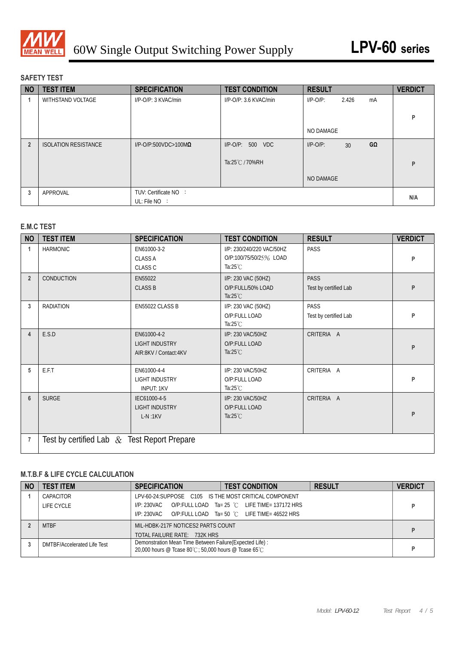

#### **SAFETY TEST**

| <b>NO</b>      | <b>TEST ITEM</b>            | <b>SPECIFICATION</b>            | <b>TEST CONDITION</b>  | <b>RESULT</b>                        | <b>VERDICT</b> |
|----------------|-----------------------------|---------------------------------|------------------------|--------------------------------------|----------------|
|                | <b>WITHSTAND VOLTAGE</b>    | I/P-O/P: 3 KVAC/min             | I/P-O/P: 3.6 KVAC/min  | 2.426<br>$I/P-O/P$ :<br>mA           |                |
|                |                             |                                 |                        |                                      |                |
|                |                             |                                 |                        |                                      | P              |
|                |                             |                                 |                        | NO DAMAGE                            |                |
| $\overline{2}$ | <b>ISOLATION RESISTANCE</b> | $I/P$ -O/P:500VDC>100M $\Omega$ | $I/P$ -O/P:<br>500 VDC | GΩ<br>$I/P-O/P$ :<br>30 <sup>°</sup> |                |
|                |                             |                                 |                        |                                      |                |
|                |                             |                                 | Ta:25℃ / 70%RH         |                                      | P              |
|                |                             |                                 |                        | NO DAMAGE                            |                |
| 3              | APPROVAL                    | TUV: Certificate NO :           |                        |                                      |                |
|                |                             | UL: File $NO$ :                 |                        |                                      | N/A            |

### **E.M.C TEST**

| <b>NO</b>      | <b>TEST ITEM</b>                               | <b>SPECIFICATION</b>                                          | <b>TEST CONDITION</b>                                                     | <b>RESULT</b>                        | <b>VERDICT</b> |
|----------------|------------------------------------------------|---------------------------------------------------------------|---------------------------------------------------------------------------|--------------------------------------|----------------|
| $\mathbf{1}$   | <b>HARMONIC</b>                                | EN61000-3-2<br><b>CLASS A</b><br><b>CLASS C</b>               | I/P: 230/240/220 VAC/50HZ<br>O/P:100/75/50/25% LOAD<br>Ta: $25^{\circ}$ C | PASS                                 | P              |
| $\overline{2}$ | CONDUCTION                                     | EN55022<br><b>CLASS B</b>                                     | I/P: 230 VAC (50HZ)<br>O/P:FULL/50% LOAD<br>Ta: $25^{\circ}$ C            | <b>PASS</b><br>Test by certified Lab | P              |
| 3              | <b>RADIATION</b>                               | EN55022 CLASS B                                               | I/P: 230 VAC (50HZ)<br>O/P:FULL LOAD<br>Ta: $25^{\circ}$ C                | <b>PASS</b><br>Test by certified Lab | P              |
| $\overline{4}$ | E.S.D                                          | EN61000-4-2<br><b>LIGHT INDUSTRY</b><br>AIR:8KV / Contact:4KV | I/P: 230 VAC/50HZ<br>O/P:FULL LOAD<br>Ta: $25^{\circ}$ C                  | CRITERIA A                           | P              |
| 5              | E.F.T                                          | EN61000-4-4<br><b>LIGHT INDUSTRY</b><br><b>INPUT: 1KV</b>     | I/P: 230 VAC/50HZ<br>O/P:FULL LOAD<br>Ta: $25^{\circ}$ C                  | CRITERIA A                           | P              |
| 6              | <b>SURGE</b>                                   | IEC61000-4-5<br>LIGHT INDUSTRY<br>$L-N:1KV$                   | I/P: 230 VAC/50HZ<br>O/P:FULL LOAD<br>Ta: $25^{\circ}$ C                  | CRITERIA A                           | P              |
| $\overline{7}$ | Test by certified Lab $\&$ Test Report Prepare |                                                               |                                                                           |                                      |                |

## **M.T.B.F & LIFE CYCLE CALCULATION**

| <b>NO</b> | <b>TEST ITEM</b>            | <b>SPECIFICATION</b>                                                                                              | <b>TEST CONDITION</b>                            | <b>RESULT</b> | <b>VERDICT</b> |
|-----------|-----------------------------|-------------------------------------------------------------------------------------------------------------------|--------------------------------------------------|---------------|----------------|
|           | CAPACITOR                   | LPV-60-24: SUPPOSE C105 IS THE MOST CRITICAL COMPONENT                                                            |                                                  |               |                |
|           | LIFE CYCLE                  | I/P: 230VAC                                                                                                       | O/P:FULL LOAD $Ta = 25$ °C LIFE TIME= 137172 HRS |               |                |
|           |                             | I/P: 230VAC                                                                                                       | O/P:FULL LOAD Ta= 50 °C LIFE TIME= 46522 HRS     |               |                |
|           | <b>MTBF</b>                 | MIL-HDBK-217F NOTICES2 PARTS COUNT                                                                                |                                                  |               |                |
|           |                             | TOTAL FAILURE RATE: 732K HRS                                                                                      |                                                  |               |                |
|           | DMTBF/Accelerated Life Test | Demonstration Mean Time Between Failure (Expected Life) :<br>20,000 hours @ Tcase 80°C; 50,000 hours @ Tcase 65°C |                                                  |               |                |